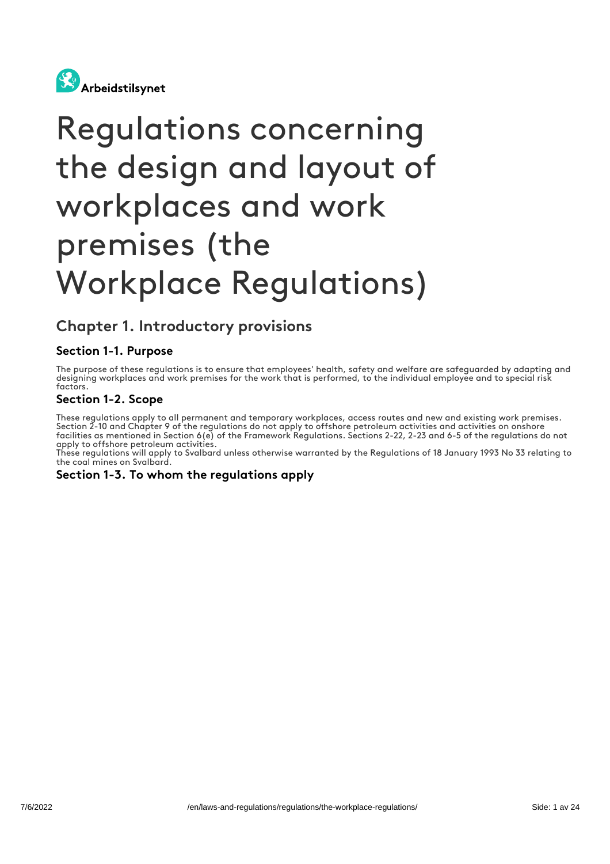

# Regulations concerning the design and layout of workplaces and work premises (the Workplace Regulations)

## Chapter 1. Introductory provisions

## Section 1-1. Purpose

The purpose of these regulations is to ensure that employees' health, safety and welfare are safeguarded by adapting and designing workplaces and work premises for the work that is performed, to the individual employee and to special risk factors.

## Section 1-2. Scope

These regulations apply to all permanent and temporary workplaces, access routes and new and existing work premises. Section 2-10 and Chapter 9 of the regulations do not apply to offshore petroleum activities and activities on onshore facilities as mentioned in Section 6(e) of the Framework Regulations. Sections 2-22, 2-23 and 6-5 of the regulations do not apply to offshore petroleum activities.

These regulations will apply to Svalbard unless otherwise warranted by the Regulations of 18 January 1993 No 33 relating to the coal mines on Svalbard.

#### Section 1-3. To whom the regulations apply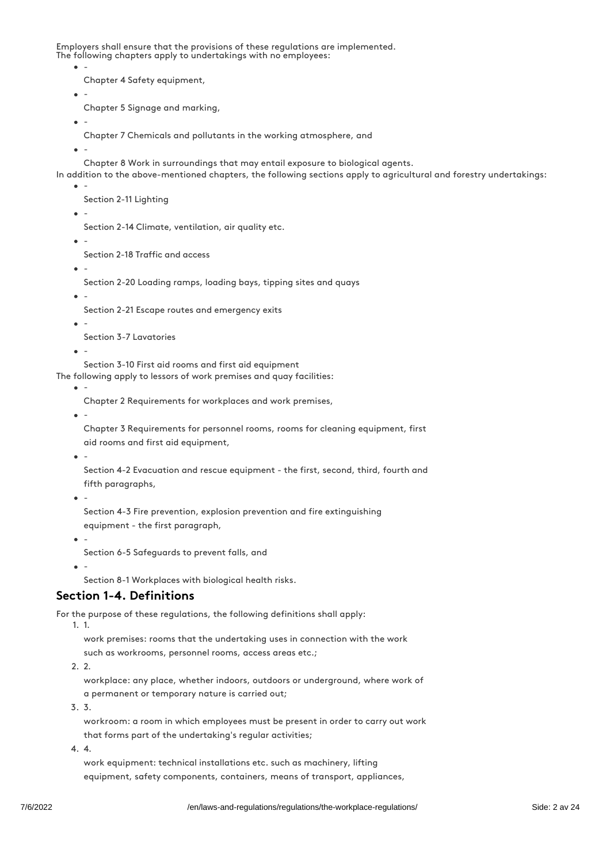Employers shall ensure that the provisions of these regulations are implemented. The following chapters apply to undertakings with no employees:

-

Chapter 4 Safety equipment,

-

Chapter 5 Signage and marking,

 $\sim$ -

Chapter 7 Chemicals and pollutants in the working atmosphere, and

-

Chapter 8 Work in surroundings that may entail exposure to biological agents.

- In addition to the above-mentioned chapters, the following sections apply to agricultural and forestry undertakings:
	- -

Section 2-11 Lighting

-

Section 2-14 Climate, ventilation, air quality etc.

-

Section 2-18 Traffic and access

-

Section 2-20 Loading ramps, loading bays, tipping sites and quays

-

Section 2-21 Escape routes and emergency exits

-

Section 3-7 Lavatories

-

Section 3-10 First aid rooms and first aid equipment

The following apply to lessors of work premises and quay facilities:

-

Chapter 2 Requirements for workplaces and work premises,

-

Chapter 3 Requirements for personnel rooms, rooms for cleaning equipment, first aid rooms and first aid equipment,

-

Section 4-2 Evacuation and rescue equipment - the first, second, third, fourth and fifth paragraphs,

-

Section 4-3 Fire prevention, explosion prevention and fire extinguishing equipment - the first paragraph,

Section 6-5 Safeguards to prevent falls, and

 $\bullet$ 

-

-

Section 8-1 Workplaces with biological health risks.

## Section 1-4. Definitions

For the purpose of these regulations, the following definitions shall apply:

1. 1.

work premises: rooms that the undertaking uses in connection with the work

such as workrooms, personnel rooms, access areas etc.;

2. 2.

workplace: any place, whether indoors, outdoors or underground, where work of a permanent or temporary nature is carried out;

3. 3.

workroom: a room in which employees must be present in order to carry out work that forms part of the undertaking's regular activities;

4. 4.

work equipment: technical installations etc. such as machinery, lifting equipment, safety components, containers, means of transport, appliances,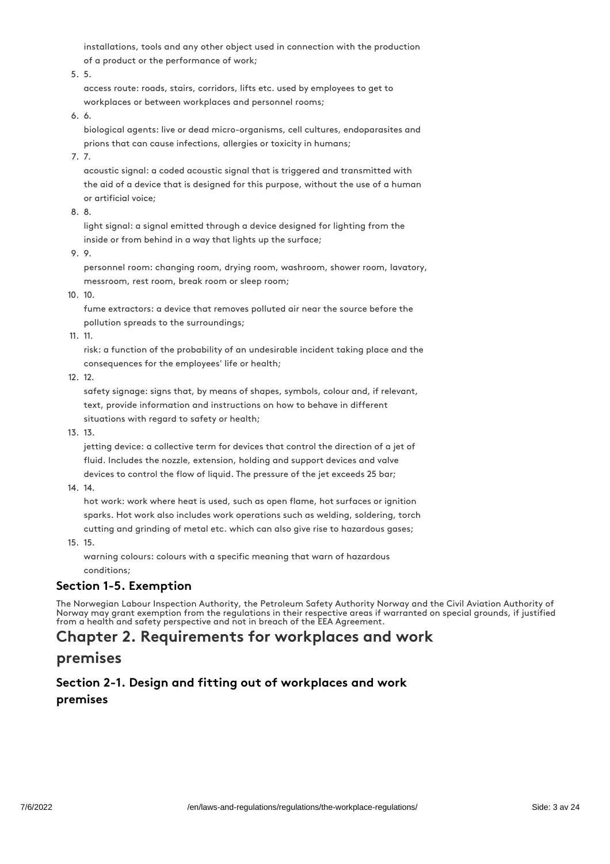installations, tools and any other object used in connection with the production of a product or the performance of work;

5. 5.

access route: roads, stairs, corridors, lifts etc. used by employees to get to workplaces or between workplaces and personnel rooms;

6. 6.

biological agents: live or dead micro-organisms, cell cultures, endoparasites and prions that can cause infections, allergies or toxicity in humans;

7. 7.

acoustic signal: a coded acoustic signal that is triggered and transmitted with the aid of a device that is designed for this purpose, without the use of a human or artificial voice;

8. 8.

light signal: a signal emitted through a device designed for lighting from the inside or from behind in a way that lights up the surface;

9. 9.

personnel room: changing room, drying room, washroom, shower room, lavatory, messroom, rest room, break room or sleep room;

10. 10.

fume extractors: a device that removes polluted air near the source before the pollution spreads to the surroundings;

11. 11.

risk: a function of the probability of an undesirable incident taking place and the consequences for the employees' life or health;

12. 12.

safety signage: signs that, by means of shapes, symbols, colour and, if relevant, text, provide information and instructions on how to behave in different situations with regard to safety or health;

13. 13.

jetting device: a collective term for devices that control the direction of a jet of fluid. Includes the nozzle, extension, holding and support devices and valve devices to control the flow of liquid. The pressure of the jet exceeds 25 bar;

14. 14.

hot work: work where heat is used, such as open flame, hot surfaces or ignition sparks. Hot work also includes work operations such as welding, soldering, torch cutting and grinding of metal etc. which can also give rise to hazardous gases;

15. 15.

warning colours: colours with a specific meaning that warn of hazardous conditions;

## Section 1-5. Exemption

The Norwegian Labour Inspection Authority, the Petroleum Safety Authority Norway and the Civil Aviation Authority of Norway may grant exemption from the regulations in their respective areas if warranted on special grounds, if justified from a health and safety perspective and not in breach of the EEA Agreement.

## Chapter 2. Requirements for workplaces and work

## premises

## Section 2-1. Design and fitting out of workplaces and work premises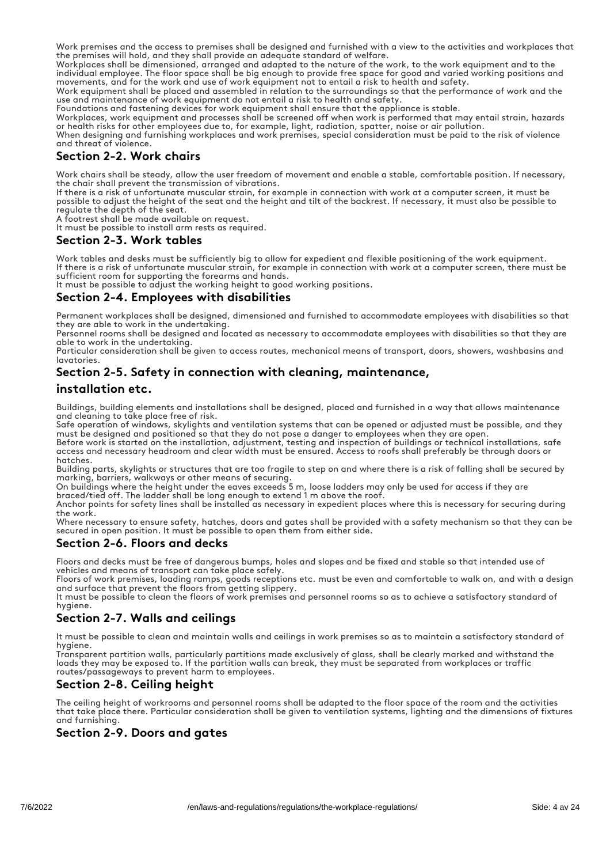Work premises and the access to premises shall be designed and furnished with a view to the activities and workplaces that the premises will hold, and they shall provide an adequate standard of welfare.

Workplaces shall be dimensioned, arranged and adapted to the nature of the work, to the work equipment and to the individual employee. The floor space shall be big enough to provide free space for good and varied working positions and movements, and for the work and use of work equipment not to entail a risk to health and safety.

Work equipment shall be placed and assembled in relation to the surroundings so that the performance of work and the use and maintenance of work equipment do not entail a risk to health and safety.

Foundations and fastening devices for work equipment shall ensure that the appliance is stable.

Workplaces, work equipment and processes shall be screened off when work is performed that may entail strain, hazards or health risks for other employees due to, for example, light, radiation, spatter, noise or air pollution.

When designing and furnishing workplaces and work premises, special consideration must be paid to the risk of violence and threat of violence.

## Section 2-2. Work chairs

Work chairs shall be steady, allow the user freedom of movement and enable a stable, comfortable position. If necessary, the chair shall prevent the transmission of vibrations.

If there is a risk of unfortunate muscular strain, for example in connection with work at a computer screen, it must be possible to adjust the height of the seat and the height and tilt of the backrest. If necessary, it must also be possible to regulate the depth of the seat.

A footrest shall be made available on request.

It must be possible to install arm rests as required.

#### Section 2-3. Work tables

Work tables and desks must be sufficiently big to allow for expedient and flexible positioning of the work equipment. If there is a risk of unfortunate muscular strain, for example in connection with work at a computer screen, there must be sufficient room for supporting the forearms and hands.

It must be possible to adjust the working height to good working positions.

## Section 2-4. Employees with disabilities

Permanent workplaces shall be designed, dimensioned and furnished to accommodate employees with disabilities so that they are able to work in the undertaking.

Personnel rooms shall be designed and located as necessary to accommodate employees with disabilities so that they are able to work in the undertaking.

Particular consideration shall be given to access routes, mechanical means of transport, doors, showers, washbasins and lavatories.

## Section 2-5. Safety in connection with cleaning, maintenance,

#### installation etc.

Buildings, building elements and installations shall be designed, placed and furnished in a way that allows maintenance and cleaning to take place free of risk.

Safe operation of windows, skylights and ventilation systems that can be opened or adjusted must be possible, and they must be designed and positioned so that they do not pose a danger to employees when they are open.

Before work is started on the installation, adjustment, testing and inspection of buildings or technical installations, safe access and necessary headroom and clear width must be ensured. Access to roofs shall preferably be through doors or hatches.

Building parts, skylights or structures that are too fragile to step on and where there is a risk of falling shall be secured by marking, barriers, walkways or other means of securing.

On buildings where the height under the eaves exceeds 5 m, loose ladders may only be used for access if they are braced/tied off. The ladder shall be long enough to extend 1 m above the roof.

Anchor points for safety lines shall be installed as necessary in expedient places where this is necessary for securing during the work.

Where necessary to ensure safety, hatches, doors and gates shall be provided with a safety mechanism so that they can be secured in open position. It must be possible to open them from either side.

#### Section 2-6. Floors and decks

Floors and decks must be free of dangerous bumps, holes and slopes and be fixed and stable so that intended use of vehicles and means of transport can take place safely.

Floors of work premises, loading ramps, goods receptions etc. must be even and comfortable to walk on, and with a design and surface that prevent the floors from getting slippery.

It must be possible to clean the floors of work premises and personnel rooms so as to achieve a satisfactory standard of hygiene.

## Section 2-7. Walls and ceilings

It must be possible to clean and maintain walls and ceilings in work premises so as to maintain a satisfactory standard of hygiene.

Transparent partition walls, particularly partitions made exclusively of glass, shall be clearly marked and withstand the loads they may be exposed to. If the partition walls can break, they must be separated from workplaces or traffic routes/passageways to prevent harm to employees.

## Section 2-8. Ceiling height

The ceiling height of workrooms and personnel rooms shall be adapted to the floor space of the room and the activities that take place there. Particular consideration shall be given to ventilation systems, lighting and the dimensions of fixtures and furnishing.

#### Section 2-9. Doors and gates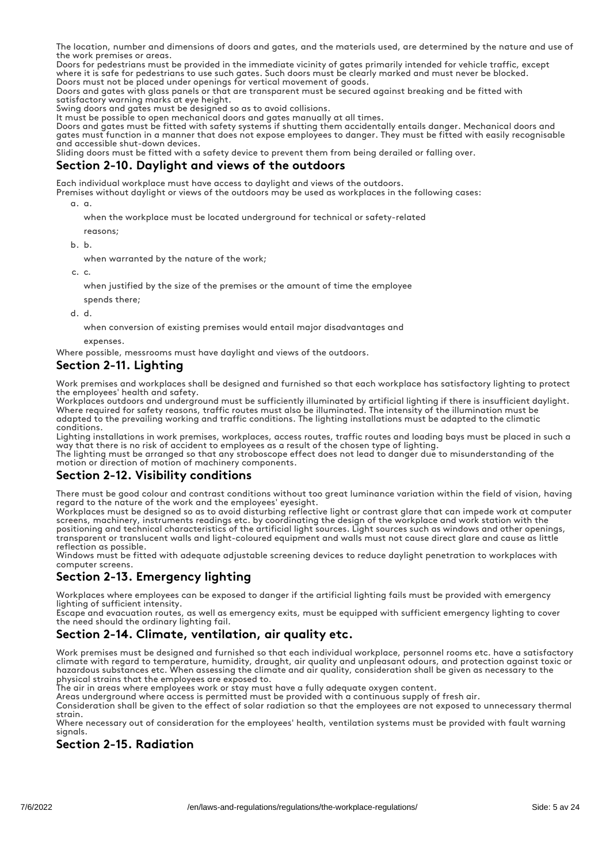The location, number and dimensions of doors and gates, and the materials used, are determined by the nature and use of the work premises or areas.

Doors for pedestrians must be provided in the immediate vicinity of gates primarily intended for vehicle traffic, except where it is safe for pedestrians to use such gates. Such doors must be clearly marked and must never be blocked. Doors must not be placed under openings for vertical movement of goods.

Doors and gates with glass panels or that are transparent must be secured against breaking and be fitted with satisfactory warning marks at eye height.

Swing doors and gates must be designed so as to avoid collisions.

It must be possible to open mechanical doors and gates manually at all times.

Doors and gates must be fitted with safety systems if shutting them accidentally entails danger. Mechanical doors and gates must function in a manner that does not expose employees to danger. They must be fitted with easily recognisable and accessible shut-down devices.

Sliding doors must be fitted with a safety device to prevent them from being derailed or falling over.

## Section 2-10. Daylight and views of the outdoors

Each individual workplace must have access to daylight and views of the outdoors.

Premises without daylight or views of the outdoors may be used as workplaces in the following cases:

a. a.

when the workplace must be located underground for technical or safety-related

reasons;

b. b.

when warranted by the nature of the work;

c. c.

when justified by the size of the premises or the amount of time the employee

spends there;

d. d.

when conversion of existing premises would entail major disadvantages and

expenses.

Where possible, messrooms must have daylight and views of the outdoors.

## Section 2-11. Liahtina

Work premises and workplaces shall be designed and furnished so that each workplace has satisfactory lighting to protect the employees' health and safety.

Workplaces outdoors and underground must be sufficiently illuminated by artificial lighting if there is insufficient daylight. Where required for safety reasons, traffic routes must also be illuminated. The intensity of the illumination must be adapted to the prevailing working and traffic conditions. The lighting installations must be adapted to the climatic conditions.

Lighting installations in work premises, workplaces, access routes, traffic routes and loading bays must be placed in such a way that there is no risk of accident to employees as a result of the chosen type of lighting.

The lighting must be arranged so that any stroboscope effect does not lead to danger due to misunderstanding of the motion or direction of motion of machinery components.

## Section 2-12. Visibility conditions

There must be good colour and contrast conditions without too great luminance variation within the field of vision, having regard to the nature of the work and the employees' eyesight.

Workplaces must be designed so as to avoid disturbing reflective light or contrast glare that can impede work at computer screens, machinery, instruments readings etc. by coordinating the design of the workplace and work station with the positioning and technical characteristics of the artificial light sources. Light sources such as windows and other openings, transparent or translucent walls and light-coloured equipment and walls must not cause direct glare and cause as little reflection as possible.

Windows must be fitted with adequate adjustable screening devices to reduce daylight penetration to workplaces with computer screens.

## Section 2-13. Emergency lighting

Workplaces where employees can be exposed to danger if the artificial lighting fails must be provided with emergency lighting of sufficient intensity.

Escape and evacuation routes, as well as emergency exits, must be equipped with sufficient emergency lighting to cover the need should the ordinary lighting fail.

## Section 2-14. Climate, ventilation, air quality etc.

Work premises must be designed and furnished so that each individual workplace, personnel rooms etc. have a satisfactory climate with regard to temperature, humidity, draught, air quality and unpleasant odours, and protection against toxic or hazardous substances etc. When assessing the climate and air quality, consideration shall be given as necessary to the physical strains that the employees are exposed to.

The air in areas where employees work or stay must have a fully adequate oxygen content.

Areas underground where access is permitted must be provided with a continuous supply of fresh air.

Consideration shall be given to the effect of solar radiation so that the employees are not exposed to unnecessary thermal strain.

Where necessary out of consideration for the employees' health, ventilation systems must be provided with fault warning signals.

## Section 2-15. Radiation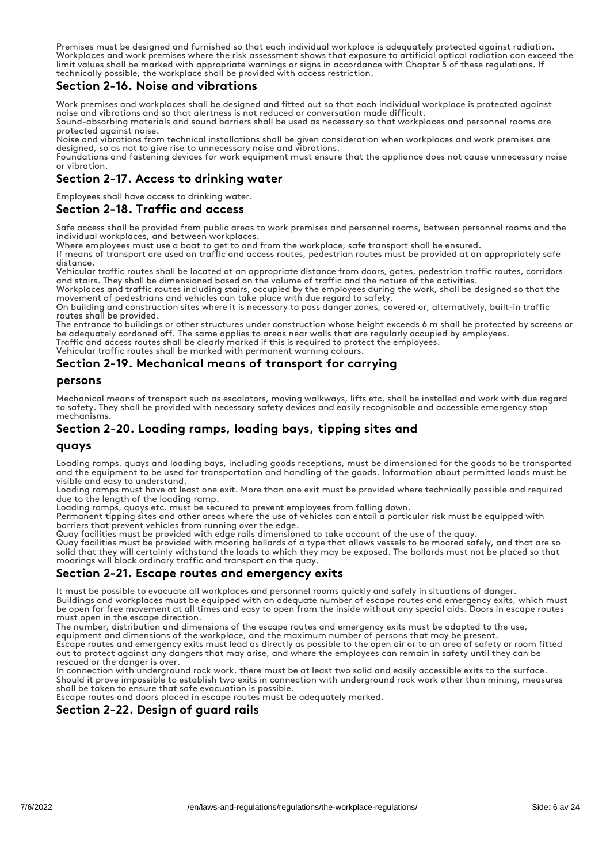Premises must be designed and furnished so that each individual workplace is adequately protected against radiation. Workplaces and work premises where the risk assessment shows that exposure to artificial optical radiation can exceed the limit values shall be marked with appropriate warnings or signs in accordance with Chapter 5 of these regulations. If technically possible, the workplace shall be provided with access restriction.

#### Section 2-16. Noise and vibrations

Work premises and workplaces shall be designed and fitted out so that each individual workplace is protected against noise and vibrations and so that alertness is not reduced or conversation made difficult.

Sound-absorbing materials and sound barriers shall be used as necessary so that workplaces and personnel rooms are protected against noise.

Noise and vibrations from technical installations shall be given consideration when workplaces and work premises are designed, so as not to give rise to unnecessary noise and vibrations.

Foundations and fastening devices for work equipment must ensure that the appliance does not cause unnecessary noise or vibration.

## Section 2-17. Access to drinking water

Employees shall have access to drinking water.

#### Section 2-18. Traffic and access

Safe access shall be provided from public areas to work premises and personnel rooms, between personnel rooms and the individual workplaces, and between workplaces.

Where employees must use a boat to get to and from the workplace, safe transport shall be ensured.

If means of transport are used on traffic and access routes, pedestrian routes must be provided at an appropriately safe distance.

Vehicular traffic routes shall be located at an appropriate distance from doors, gates, pedestrian traffic routes, corridors and stairs. They shall be dimensioned based on the volume of traffic and the nature of the activities.

Workplaces and traffic routes including stairs, occupied by the employees during the work, shall be designed so that the movement of pedestrians and vehicles can take place with due regard to safety.

On building and construction sites where it is necessary to pass danger zones, covered or, alternatively, built-in traffic routes shall be provided.

The entrance to buildings or other structures under construction whose height exceeds 6 m shall be protected by screens or be adequately cordoned off. The same applies to areas near walls that are regularly occupied by employees.

Traffic and access routes shall be clearly marked if this is required to protect the employees.

Vehicular traffic routes shall be marked with permanent warning colours.

## Section 2-19. Mechanical means of transport for carrying

#### persons

Mechanical means of transport such as escalators, moving walkways, lifts etc. shall be installed and work with due regard to safety. They shall be provided with necessary safety devices and easily recognisable and accessible emergency stop mechanisms.

## Section 2-20. Loading ramps, loading bays, tipping sites and

#### quays

Loading ramps, quays and loading bays, including goods receptions, must be dimensioned for the goods to be transported and the equipment to be used for transportation and handling of the goods. Information about permitted loads must be visible and easy to understand.

Loading ramps must have at least one exit. More than one exit must be provided where technically possible and required due to the length of the loading ramp.

Loading ramps, quays etc. must be secured to prevent employees from falling down.

Permanent tipping sites and other areas where the use of vehicles can entail a particular risk must be equipped with barriers that prevent vehicles from running over the edge.

Quay facilities must be provided with edge rails dimensioned to take account of the use of the quay.

Quay facilities must be provided with mooring bollards of a type that allows vessels to be moored safely, and that are so solid that they will certainly withstand the loads to which they may be exposed. The bollards must not be placed so that moorings will block ordinary traffic and transport on the quay.

#### Section 2-21. Escape routes and emergency exits

It must be possible to evacuate all workplaces and personnel rooms quickly and safely in situations of danger. Buildings and workplaces must be equipped with an adequate number of escape routes and emergency exits, which must be open for free movement at all times and easy to open from the inside without any special aids. Doors in escape routes must open in the escape direction.

The number, distribution and dimensions of the escape routes and emergency exits must be adapted to the use,

equipment and dimensions of the workplace, and the maximum number of persons that may be present.

Escape routes and emergency exits must lead as directly as possible to the open air or to an area of safety or room fitted out to protect against any dangers that may arise, and where the employees can remain in safety until they can be rescued or the danger is over.

In connection with underground rock work, there must be at least two solid and easily accessible exits to the surface. Should it prove impossible to establish two exits in connection with underground rock work other than mining, measures shall be taken to ensure that safe evacuation is possible.

Escape routes and doors placed in escape routes must be adequately marked.

## Section 2-22. Design of guard rails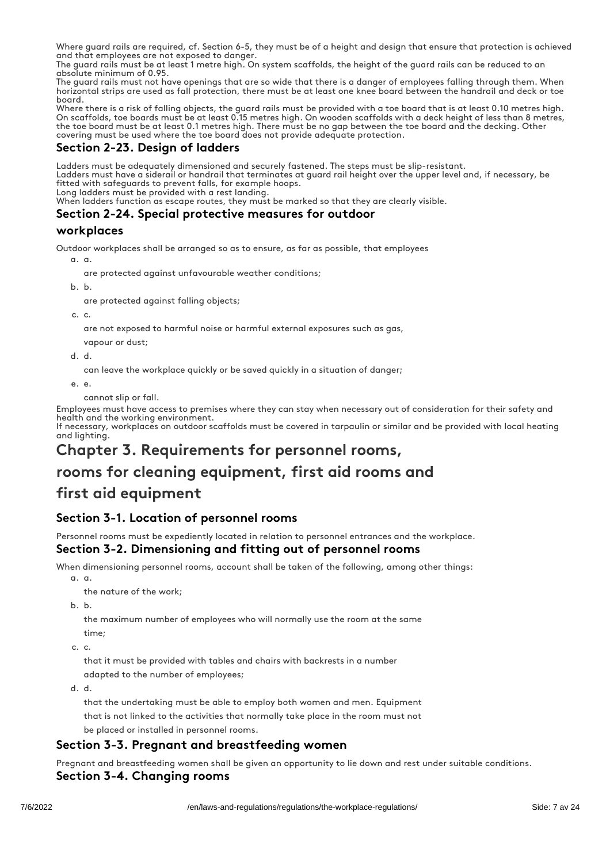Where guard rails are required, cf. Section 6-5, they must be of a height and design that ensure that protection is achieved and that employees are not exposed to danger.

The guard rails must be at least 1 metre high. On system scaffolds, the height of the guard rails can be reduced to an absolute minimum of 0.95.

The guard rails must not have openings that are so wide that there is a danger of employees falling through them. When horizontal strips are used as fall protection, there must be at least one knee board between the handrail and deck or toe board.

Where there is a risk of falling objects, the guard rails must be provided with a toe board that is at least 0.10 metres high. On scaffolds, toe boards must be at least 0.15 metres high. On wooden scaffolds with a deck height of less than 8 metres, the toe board must be at least 0.1 metres high. There must be no gap between the toe board and the decking. Other covering must be used where the toe board does not provide adequate protection.

## Section 2-23. Design of ladders

Ladders must be adequately dimensioned and securely fastened. The steps must be slip-resistant.

Ladders must have a siderail or handrail that terminates at guard rail height over the upper level and, if necessary, be fitted with safeguards to prevent falls, for example hoops.

Long ladders must be provided with a rest landing.

When ladders function as escape routes, they must be marked so that they are clearly visible.

## Section 2-24. Special protective measures for outdoor

## workplaces

Outdoor workplaces shall be arranged so as to ensure, as far as possible, that employees

a. a.

are protected against unfavourable weather conditions;

b. b.

are protected against falling objects;

c. c.

are not exposed to harmful noise or harmful external exposures such as gas,

vapour or dust;

d. d.

can leave the workplace quickly or be saved quickly in a situation of danger;

e. e.

cannot slip or fall.

Employees must have access to premises where they can stay when necessary out of consideration for their safety and health and the working environment.

If necessary, workplaces on outdoor scaffolds must be covered in tarpaulin or similar and be provided with local heating and lighting.

## Chapter 3. Requirements for personnel rooms,

## rooms for cleaning equipment, first aid rooms and

## first aid equipment

## Section 3-1. Location of personnel rooms

Personnel rooms must be expediently located in relation to personnel entrances and the workplace.

## Section 3-2. Dimensioning and fitting out of personnel rooms

When dimensioning personnel rooms, account shall be taken of the following, among other things:

a. a.

the nature of the work;

b. b.

the maximum number of employees who will normally use the room at the same time;

c. c.

that it must be provided with tables and chairs with backrests in a number adapted to the number of employees;

d. d.

that the undertaking must be able to employ both women and men. Equipment that is not linked to the activities that normally take place in the room must not be placed or installed in personnel rooms.

## Section 3-3. Pregnant and breastfeeding women

Pregnant and breastfeeding women shall be given an opportunity to lie down and rest under suitable conditions. Section 3-4. Changing rooms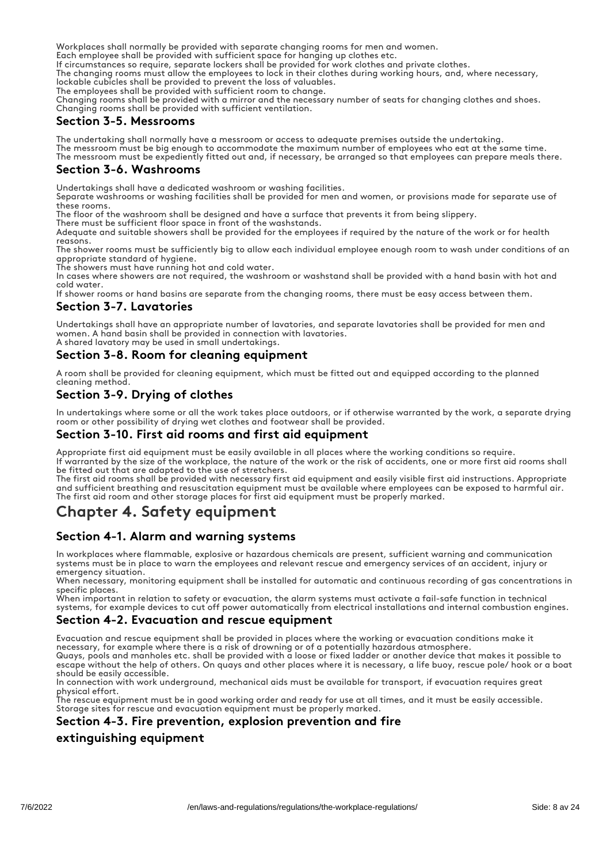Workplaces shall normally be provided with separate changing rooms for men and women.

Each employee shall be provided with sufficient space for hanging up clothes etc.

If circumstances so require, separate lockers shall be provided for work clothes and private clothes.

The changing rooms must allow the employees to lock in their clothes during working hours, and, where necessary, lockable cubicles shall be provided to prevent the loss of valuables.

The employees shall be provided with sufficient room to change.

Changing rooms shall be provided with a mirror and the necessary number of seats for changing clothes and shoes. Changing rooms shall be provided with sufficient ventilation.

## Section 3-5. Messrooms

The undertaking shall normally have a messroom or access to adequate premises outside the undertaking. The messroom must be big enough to accommodate the maximum number of employees who eat at the same time. The messroom must be expediently fitted out and, if necessary, be arranged so that employees can prepare meals there.

## Section 3-6. Washrooms

Undertakings shall have a dedicated washroom or washing facilities.

Separate washrooms or washing facilities shall be provided for men and women, or provisions made for separate use of these rooms.

The floor of the washroom shall be designed and have a surface that prevents it from being slippery.

There must be sufficient floor space in front of the washstands.

Adequate and suitable showers shall be provided for the employees if required by the nature of the work or for health reasons.

The shower rooms must be sufficiently big to allow each individual employee enough room to wash under conditions of an appropriate standard of hygiene.

The showers must have running hot and cold water.

In cases where showers are not required, the washroom or washstand shall be provided with a hand basin with hot and cold water.

If shower rooms or hand basins are separate from the changing rooms, there must be easy access between them.

## Section 3-7. Lavatories

Undertakings shall have an appropriate number of lavatories, and separate lavatories shall be provided for men and women. A hand basin shall be provided in connection with lavatories. A shared lavatory may be used in small undertakings.

## Section 3-8. Room for cleaning equipment

A room shall be provided for cleaning equipment, which must be fitted out and equipped according to the planned cleaning method.

## Section 3-9. Drying of clothes

In undertakings where some or all the work takes place outdoors, or if otherwise warranted by the work, a separate drying room or other possibility of drying wet clothes and footwear shall be provided.

#### Section 3-10. First aid rooms and first aid equipment

Appropriate first aid equipment must be easily available in all places where the working conditions so require. If warranted by the size of the workplace, the nature of the work or the risk of accidents, one or more first aid rooms shall be fitted out that are adapted to the use of stretchers.

The first aid rooms shall be provided with necessary first aid equipment and easily visible first aid instructions. Appropriate and sufficient breathing and resuscitation equipment must be available where employees can be exposed to harmful air. The first aid room and other storage places for first aid equipment must be properly marked.

## Chapter 4. Safety equipment

## Section 4-1. Alarm and warning systems

In workplaces where flammable, explosive or hazardous chemicals are present, sufficient warning and communication systems must be in place to warn the employees and relevant rescue and emergency services of an accident, injury or emergency situation.

When necessary, monitoring equipment shall be installed for automatic and continuous recording of gas concentrations in specific places.

When important in relation to safety or evacuation, the alarm systems must activate a fail-safe function in technical systems, for example devices to cut off power automatically from electrical installations and internal combustion engines.

## Section 4-2. Evacuation and rescue equipment

Evacuation and rescue equipment shall be provided in places where the working or evacuation conditions make it necessary, for example where there is a risk of drowning or of a potentially hazardous atmosphere.

Quays, pools and manholes etc. shall be provided with a loose or fixed ladder or another device that makes it possible to escape without the help of others. On quays and other places where it is necessary, a life buoy, rescue pole/ hook or a boat should be easily accessible.

In connection with work underground, mechanical aids must be available for transport, if evacuation requires great physical effort.

The rescue equipment must be in good working order and ready for use at all times, and it must be easily accessible. Storage sites for rescue and evacuation equipment must be properly marked.

#### Section 4-3. Fire prevention, explosion prevention and fire

## extinguishing equipment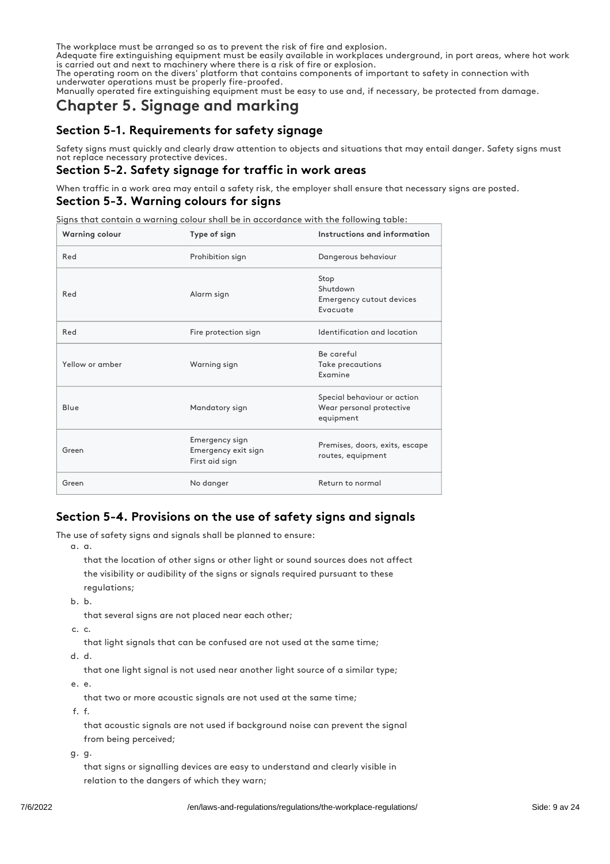The workplace must be arranged so as to prevent the risk of fire and explosion.

Adequate fire extinguishing equipment must be easily available in workplaces underground, in port areas, where hot work is carried out and next to machinery where there is a risk of fire or explosion.

The operating room on the divers' platform that contains components of important to safety in connection with underwater operations must be properly fire-proofed.

Manually operated fire extinguishing equipment must be easy to use and, if necessary, be protected from damage.

## Chapter 5. Signage and marking

## Section 5-1. Requirements for safety signage

Safety signs must quickly and clearly draw attention to objects and situations that may entail danger. Safety signs must not replace necessary protective devices.

## Section 5-2. Safety signage for traffic in work areas

When traffic in a work area may entail a safety risk, the employer shall ensure that necessary signs are posted.

## Section 5-3. Warning colours for signs

Signs that contain a warning colour shall be in accordance with the following table:

| Warning colour  | Type of sign                                            | Instructions and information                                         |
|-----------------|---------------------------------------------------------|----------------------------------------------------------------------|
| Red             | Prohibition sign                                        | Dangerous behaviour                                                  |
| Red             | Alarm sign                                              | Stop<br>Shutdown<br>Emergency cutout devices<br>Evacuate             |
| Red             | Fire protection sign                                    | Identification and location                                          |
| Yellow or amber | Warning sign                                            | Be careful<br>Take precautions<br>Examine                            |
| Blue            | Mandatory sign                                          | Special behaviour or action<br>Wear personal protective<br>equipment |
| Green           | Emergency sign<br>Emergency exit sign<br>First aid sign | Premises, doors, exits, escape<br>routes, equipment                  |
| Green           | No danger                                               | Return to normal                                                     |

## Section 5-4. Provisions on the use of safety signs and signals

The use of safety signs and signals shall be planned to ensure:

a. a.

that the location of other signs or other light or sound sources does not affect the visibility or audibility of the signs or signals required pursuant to these regulations;

b. b.

that several signs are not placed near each other;

c. c.

that light signals that can be confused are not used at the same time;

d. d.

that one light signal is not used near another light source of a similar type;

e. e.

that two or more acoustic signals are not used at the same time;

f. f.

that acoustic signals are not used if background noise can prevent the signal from being perceived;

g. g.

that signs or signalling devices are easy to understand and clearly visible in relation to the dangers of which they warn;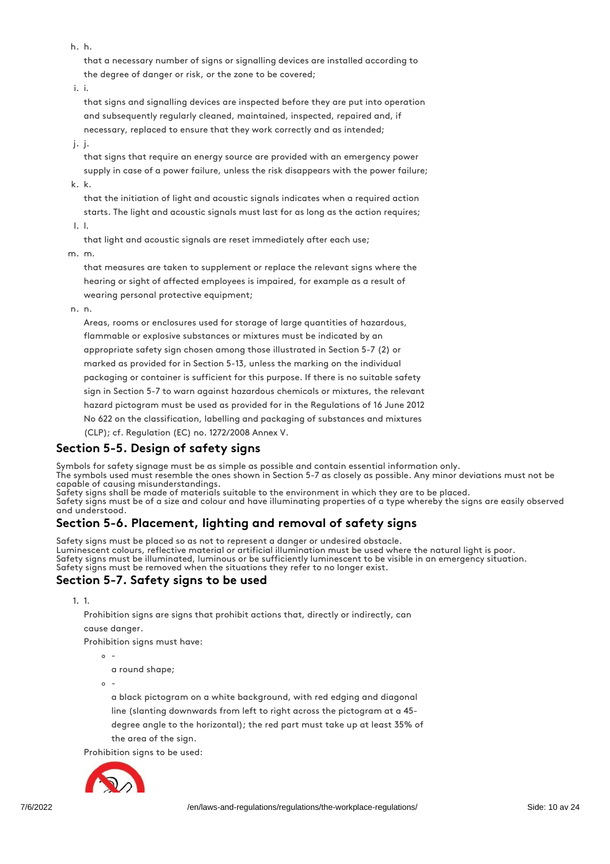h. h.

that a necessary number of signs or signalling devices are installed according to the degree of danger or risk, or the zone to be covered;

i. i.

that signs and signalling devices are inspected before they are put into operation and subsequently regularly cleaned, maintained, inspected, repaired and, if necessary, replaced to ensure that they work correctly and as intended;

j. j.

that signs that require an energy source are provided with an emergency power supply in case of a power failure, unless the risk disappears with the power failure; k. k.

that the initiation of light and acoustic signals indicates when a required action starts. The light and acoustic signals must last for as long as the action requires;

l. l.

that light and acoustic signals are reset immediately after each use;

m. m.

that measures are taken to supplement or replace the relevant signs where the hearing or sight of affected employees is impaired, for example as a result of wearing personal protective equipment;

n. n.

Areas, rooms or enclosures used for storage of large quantities of hazardous, flammable or explosive substances or mixtures must be indicated by an appropriate safety sign chosen among those illustrated in Section 5-7 (2) or marked as provided for in Section 5-13, unless the marking on the individual packaging or container is sufficient for this purpose. If there is no suitable safety sign in Section 5-7 to warn against hazardous chemicals or mixtures, the relevant hazard pictogram must be used as provided for in the Regulations of 16 June 2012 No 622 on the classification, labelling and packaging of substances and mixtures (CLP); cf. Regulation (EC) no. 1272/2008 Annex V.

## Section 5-5. Design of safety signs

Symbols for safety signage must be as simple as possible and contain essential information only. The symbols used must resemble the ones shown in Section 5-7 as closely as possible. Any minor deviations must not be capable of causing misunderstandings.

Safety signs shall be made of materials suitable to the environment in which they are to be placed. Safety signs must be of a size and colour and have illuminating properties of a type whereby the signs are easily observed and understood.

## Section 5-6. Placement, lighting and removal of safety signs

Safety signs must be placed so as not to represent a danger or undesired obstacle. Luminescent colours, reflective material or artificial illumination must be used where the natural light is poor. Safety signs must be illuminated, luminous or be sufficiently luminescent to be visible in an emergency situation. Safety signs must be removed when the situations they refer to no longer exist.

## Section 5-7. Safety signs to be used

1. 1.

Prohibition signs are signs that prohibit actions that, directly or indirectly, can cause danger.

Prohibition signs must have:

 $\circ$  -

a round shape;

 $\sim$ 

a black pictogram on a white background, with red edging and diagonal line (slanting downwards from left to right across the pictogram at a 45 degree angle to the horizontal); the red part must take up at least 35% of the area of the sign.

Prohibition signs to be used:

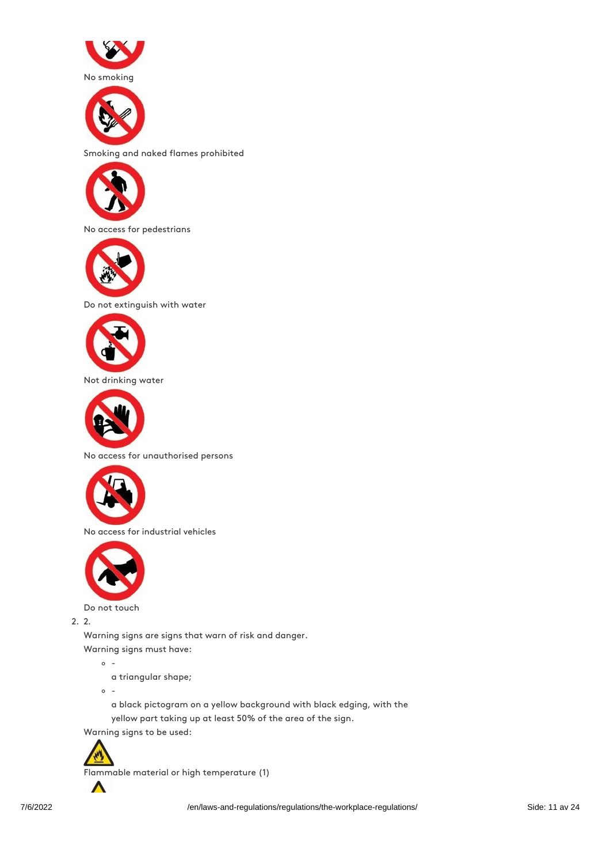



Smoking and naked flames prohibited



No access for pedestrians



Do not extinguish with water



Not drinking water



No access for unauthorised persons



No access for industrial vehicles



Do not touch

2. 2.

Warning signs are signs that warn of risk and danger.

Warning signs must have:

 $\circ$  -

a triangular shape;

 $\circ$  -

a black pictogram on a yellow background with black edging, with the yellow part taking up at least 50% of the area of the sign.

Warning signs to be used:



 $\Lambda$ 

Flammable material or high temperature (1)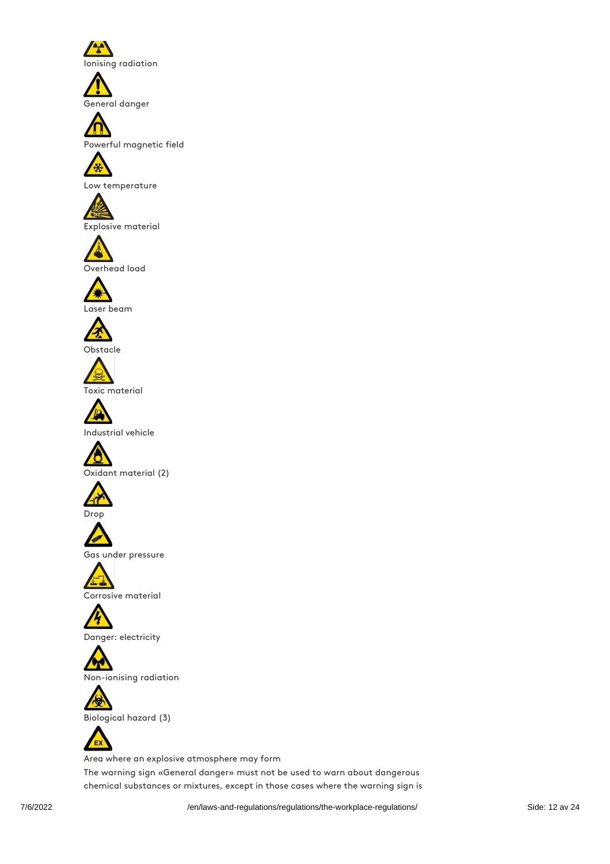Ionising radiation

General danger



Powerful magnetic field



Low temperature





Overhead load





Obstacle



Toxic material



Industrial vehicle







Gas under pressure



Corrosive material

Danger: electricity

Non-ionising radiation



Biological hazard (3)



Area where an explosive atmosphere may form The warning sign «General danger» must not be used to warn about dangerous

chemical substances or mixtures, except in those cases where the warning sign is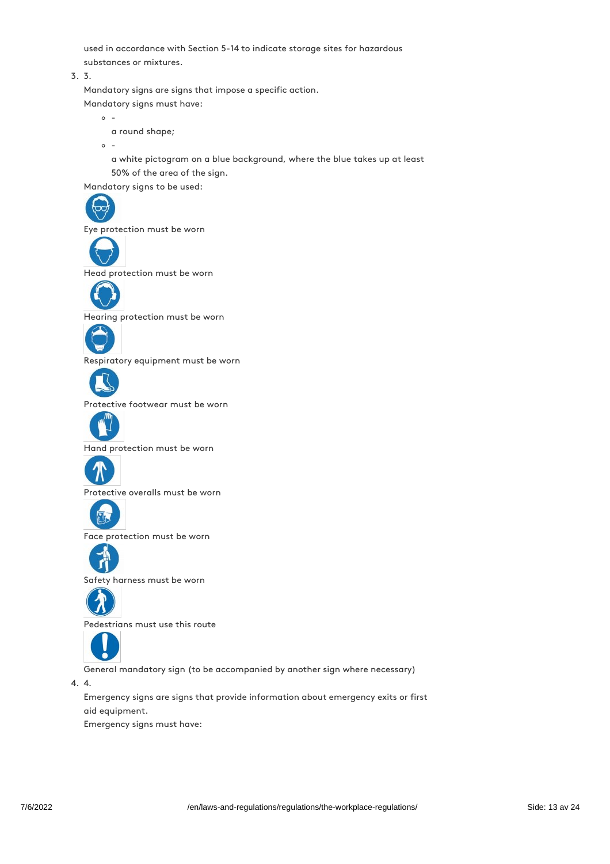used in accordance with Section 5-14 to indicate storage sites for hazardous substances or mixtures.

3. 3.

Mandatory signs are signs that impose a specific action. Mandatory signs must have:

 $\circ$  a round shape;

 $\circ$  -

a white pictogram on a blue background, where the blue takes up at least 50% of the area of the sign.

Mandatory signs to be used:



Eye protection must be worn



Head protection must be worn



Hearing protection must be worn



Respiratory equipment must be worn



Protective footwear must be worn



Hand protection must be worn



Protective overalls must be worn



Face protection must be worn



Safety harness must be worn



Pedestrians must use this route



General mandatory sign (to be accompanied by another sign where necessary)

4. 4.

Emergency signs are signs that provide information about emergency exits or first aid equipment.

Emergency signs must have: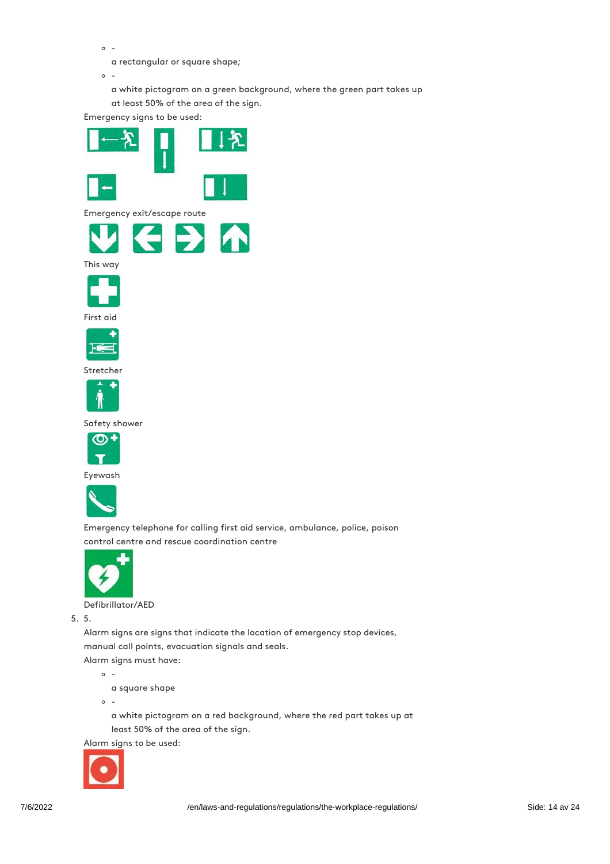$\circ$  -

a rectangular or square shape;

 $\circ$  -

a white pictogram on a green background, where the green part takes up at least 50% of the area of the sign.

Emergency signs to be used:





Emergency telephone for calling first aid service, ambulance, police, poison control centre and rescue coordination centre



Defibrillator/AED

5. 5.

Alarm signs are signs that indicate the location of emergency stop devices, manual call points, evacuation signals and seals. Alarm signs must have:

 $\circ$  -

a square shape

 $\circ$  -

a white pictogram on a red background, where the red part takes up at least 50% of the area of the sign.

Alarm signs to be used:

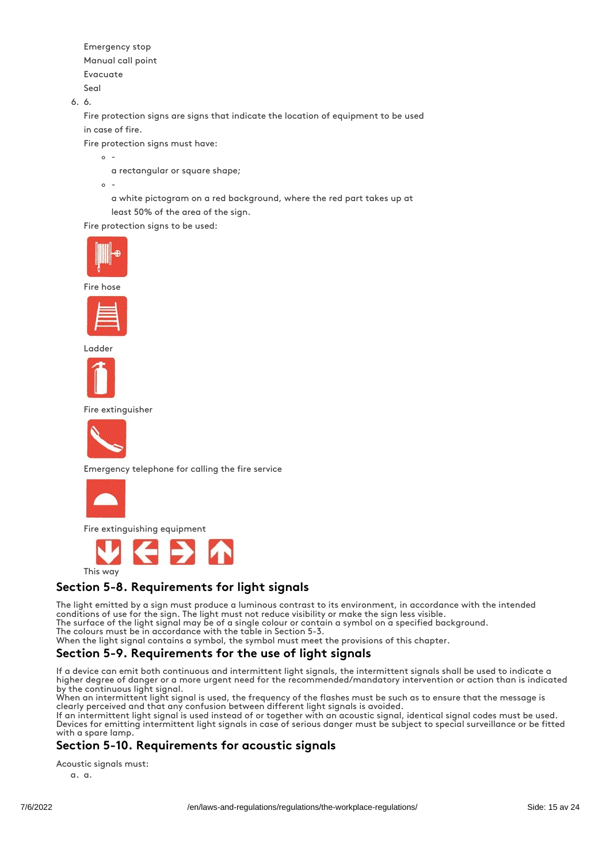Emergency stop Manual call point Evacuate Seal

6. 6.

Fire protection signs are signs that indicate the location of equipment to be used in case of fire.

Fire protection signs must have:

- $\sim$ 
	- a rectangular or square shape;
- $\circ$ -

a white pictogram on a red background, where the red part takes up at least 50% of the area of the sign.

Fire protection signs to be used:



Fire hose



Ladder



Fire extinguisher



Emergency telephone for calling the fire service



Fire extinguishing equipment



This way

## Section 5-8. Requirements for light signals

The light emitted by a sign must produce a luminous contrast to its environment, in accordance with the intended conditions of use for the sign. The light must not reduce visibility or make the sign less visible.

The surface of the light signal may be of a single colour or contain a symbol on a specified background.

The colours must be in accordance with the table in Section 5-3.

When the light signal contains a symbol, the symbol must meet the provisions of this chapter.

## Section 5-9. Requirements for the use of light signals

If a device can emit both continuous and intermittent light signals, the intermittent signals shall be used to indicate a higher degree of danger or a more urgent need for the recommended/mandatory intervention or action than is indicated by the continuous light signal.

When an intermittent light signal is used, the frequency of the flashes must be such as to ensure that the message is clearly perceived and that any confusion between different light signals is avoided.

If an intermittent light signal is used instead of or together with an acoustic signal, identical signal codes must be used. Devices for emitting intermittent light signals in case of serious danger must be subject to special surveillance or be fitted with a spare lamp.

## Section 5-10. Requirements for acoustic signals

Acoustic signals must:

a. a.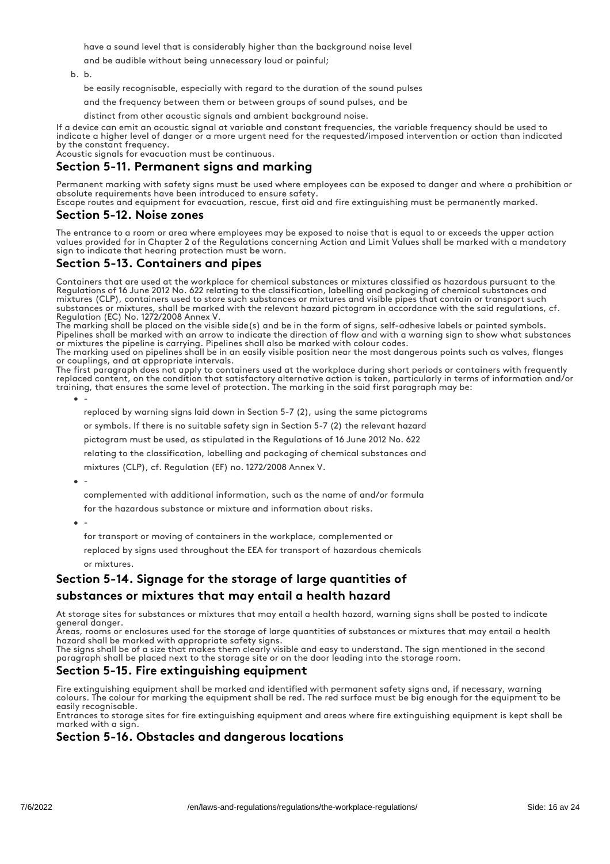have a sound level that is considerably higher than the background noise level

and be audible without being unnecessary loud or painful;

b. b.

be easily recognisable, especially with regard to the duration of the sound pulses

and the frequency between them or between groups of sound pulses, and be

distinct from other acoustic signals and ambient background noise.

If a device can emit an acoustic signal at variable and constant frequencies, the variable frequency should be used to indicate a higher level of danger or a more urgent need for the requested/imposed intervention or action than indicated by the constant frequency.

Acoustic signals for evacuation must be continuous.

## Section 5-11. Permanent signs and marking

Permanent marking with safety signs must be used where employees can be exposed to danger and where a prohibition or absolute requirements have been introduced to ensure safety.

Escape routes and equipment for evacuation, rescue, first aid and fire extinguishing must be permanently marked.

#### Section 5-12. Noise zones

The entrance to a room or area where employees may be exposed to noise that is equal to or exceeds the upper action values provided for in Chapter 2 of the Regulations concerning Action and Limit Values shall be marked with a mandatory sign to indicate that hearing protection must be worn.

## Section 5-13. Containers and pipes

Containers that are used at the workplace for chemical substances or mixtures classified as hazardous pursuant to the Regulations of 16 June 2012 No. 622 relating to the classification, labelling and packaging of chemical substances and mixtures (CLP), containers used to store such substances or mixtures and visible pipes that contain or transport such substances or mixtures, shall be marked with the relevant hazard pictogram in accordance with the said regulations, cf. Regulation (EC) No. 1272/2008 Annex V.

The marking shall be placed on the visible side(s) and be in the form of signs, self-adhesive labels or painted symbols. Pipelines shall be marked with an arrow to indicate the direction of flow and with a warning sign to show what substances or mixtures the pipeline is carrying. Pipelines shall also be marked with colour codes.

The marking used on pipelines shall be in an easily visible position near the most dangerous points such as valves, flanges or couplings, and at appropriate intervals.

The first paragraph does not apply to containers used at the workplace during short periods or containers with frequently replaced content, on the condition that satisfactory alternative action is taken, particularly in terms of information and/or training, that ensures the same level of protection. The marking in the said first paragraph may be:

 $\bullet$ -

replaced by warning signs laid down in Section 5-7 (2), using the same pictograms

or symbols. If there is no suitable safety sign in Section 5-7 (2) the relevant hazard

pictogram must be used, as stipulated in the Regulations of 16 June 2012 No. 622

relating to the classification, labelling and packaging of chemical substances and

mixtures (CLP), cf. Regulation (EF) no. 1272/2008 Annex V.

 $-$ 

complemented with additional information, such as the name of and/or formula

for the hazardous substance or mixture and information about risks.

-

for transport or moving of containers in the workplace, complemented or

replaced by signs used throughout the EEA for transport of hazardous chemicals or mixtures.

## Section 5-14. Signage for the storage of large quantities of

#### substances or mixtures that may entail a health hazard

At storage sites for substances or mixtures that may entail a health hazard, warning signs shall be posted to indicate general danger.

Areas, rooms or enclosures used for the storage of large quantities of substances or mixtures that may entail a health hazard shall be marked with appropriate safety signs.

The signs shall be of a size that makes them clearly visible and easy to understand. The sign mentioned in the second paragraph shall be placed next to the storage site or on the door leading into the storage room.

## Section 5-15. Fire extinguishing equipment

Fire extinguishing equipment shall be marked and identified with permanent safety signs and, if necessary, warning colours. The colour for marking the equipment shall be red. The red surface must be big enough for the equipment to be easily recognisable.

Entrances to storage sites for fire extinguishing equipment and areas where fire extinguishing equipment is kept shall be marked with a sign.

#### Section 5-16. Obstacles and dangerous locations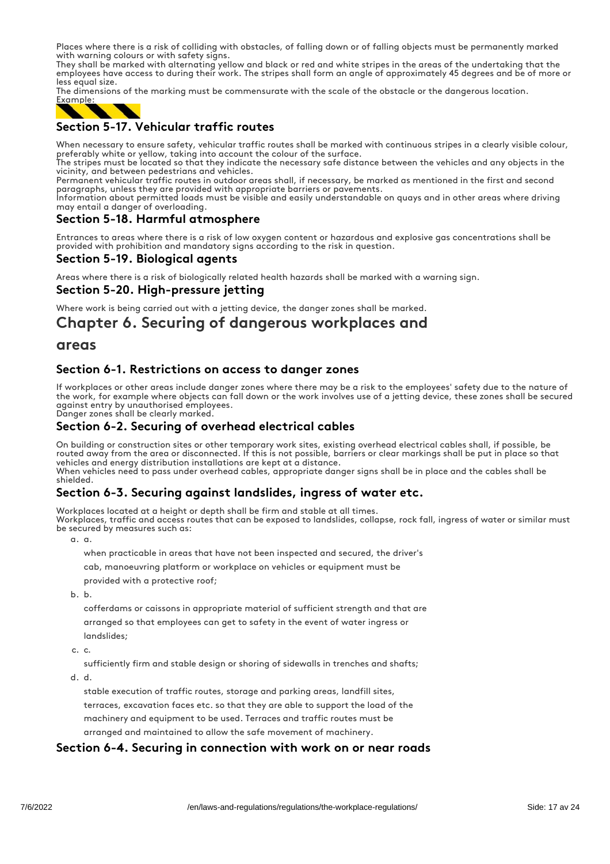Places where there is a risk of colliding with obstacles, of falling down or of falling objects must be permanently marked with warning colours or with safety signs.

They shall be marked with alternating yellow and black or red and white stripes in the areas of the undertaking that the employees have access to during their work. The stripes shall form an angle of approximately 45 degrees and be of more or less equal size.

The dimensions of the marking must be commensurate with the scale of the obstacle or the dangerous location.



## Section 5-17. Vehicular traffic routes

When necessary to ensure safety, vehicular traffic routes shall be marked with continuous stripes in a clearly visible colour, preferably white or yellow, taking into account the colour of the surface.

The stripes must be located so that they indicate the necessary safe distance between the vehicles and any objects in the vicinity, and between pedestrians and vehicles.

Permanent vehicular traffic routes in outdoor areas shall, if necessary, be marked as mentioned in the first and second paragraphs, unless they are provided with appropriate barriers or pavements.

Information about permitted loads must be visible and easily understandable on quays and in other areas where driving may entail a danger of overloading.

## Section 5-18. Harmful atmosphere

Entrances to areas where there is a risk of low oxygen content or hazardous and explosive gas concentrations shall be provided with prohibition and mandatory signs according to the risk in question.

## Section 5-19. Biological agents

Areas where there is a risk of biologically related health hazards shall be marked with a warning sign.

#### Section 5-20. High-pressure jetting

Where work is being carried out with a jetting device, the danger zones shall be marked.

## Chapter 6. Securing of dangerous workplaces and

#### areas

## Section 6-1. Restrictions on access to danger zones

If workplaces or other areas include danger zones where there may be a risk to the employees' safety due to the nature of the work, for example where objects can fall down or the work involves use of a jetting device, these zones shall be secured against entry by unauthorised employees.

Danger zones shall be clearly marked.

#### Section 6-2. Securing of overhead electrical cables

On building or construction sites or other temporary work sites, existing overhead electrical cables shall, if possible, be routed away from the area or disconnected. If this is not possible, barriers or clear markings shall be put in place so that vehicles and energy distribution installations are kept at a distance. When vehicles need to pass under overhead cables, appropriate danger signs shall be in place and the cables shall be shielded.

## Section 6-3. Securing against landslides, ingress of water etc.

Workplaces located at a height or depth shall be firm and stable at all times. Workplaces, traffic and access routes that can be exposed to landslides, collapse, rock fall, ingress of water or similar must be secured by measures such as:

a. a.

when practicable in areas that have not been inspected and secured, the driver's

cab, manoeuvring platform or workplace on vehicles or equipment must be

provided with a protective roof;

b. b.

cofferdams or caissons in appropriate material of sufficient strength and that are arranged so that employees can get to safety in the event of water ingress or

landslides;

c. c.

sufficiently firm and stable design or shoring of sidewalls in trenches and shafts;

d. d.

stable execution of traffic routes, storage and parking areas, landfill sites, terraces, excavation faces etc. so that they are able to support the load of the machinery and equipment to be used. Terraces and traffic routes must be arranged and maintained to allow the safe movement of machinery.

#### Section 6-4. Securing in connection with work on or near roads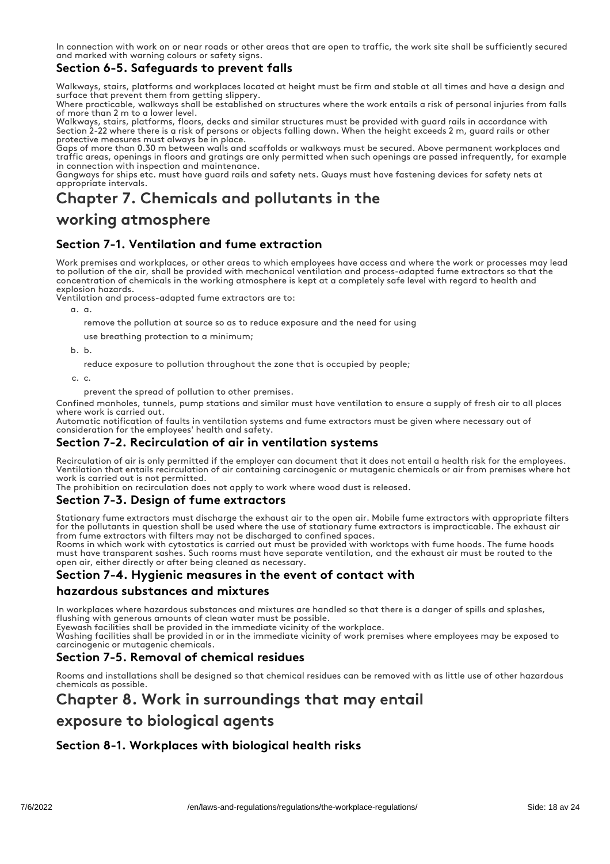In connection with work on or near roads or other areas that are open to traffic, the work site shall be sufficiently secured and marked with warning colours or safety signs.

## Section 6-5. Safeguards to prevent falls

Walkways, stairs, platforms and workplaces located at height must be firm and stable at all times and have a design and surface that prevent them from getting slippery.

Where practicable, walkways shall be established on structures where the work entails a risk of personal injuries from falls of more than 2 m to a lower level.

Walkways, stairs, platforms, floors, decks and similar structures must be provided with guard rails in accordance with Section 2-22 where there is a risk of persons or objects falling down. When the height exceeds 2 m, guard rails or other protective measures must always be in place.

Gaps of more than 0.30 m between walls and scaffolds or walkways must be secured. Above permanent workplaces and traffic areas, openings in floors and gratings are only permitted when such openings are passed infrequently, for example in connection with inspection and maintenance.

Gangways for ships etc. must have guard rails and safety nets. Quays must have fastening devices for safety nets at appropriate intervals.

## Chapter 7. Chemicals and pollutants in the

## working atmosphere

## Section 7-1. Ventilation and fume extraction

Work premises and workplaces, or other areas to which employees have access and where the work or processes may lead to pollution of the air, shall be provided with mechanical ventilation and process-adapted fume extractors so that the concentration of chemicals in the working atmosphere is kept at a completely safe level with regard to health and explosion hazards.

Ventilation and process-adapted fume extractors are to:

a. a.

- remove the pollution at source so as to reduce exposure and the need for using
- use breathing protection to a minimum;

b. b.

reduce exposure to pollution throughout the zone that is occupied by people;

c. c.

prevent the spread of pollution to other premises.

Confined manholes, tunnels, pump stations and similar must have ventilation to ensure a supply of fresh air to all places where work is carried out.

Automatic notification of faults in ventilation systems and fume extractors must be given where necessary out of consideration for the employees' health and safety.

## Section 7-2. Recirculation of air in ventilation systems

Recirculation of air is only permitted if the employer can document that it does not entail a health risk for the employees. Ventilation that entails recirculation of air containing carcinogenic or mutagenic chemicals or air from premises where hot work is carried out is not permitted.

The prohibition on recirculation does not apply to work where wood dust is released.

#### Section 7-3. Design of fume extractors

Stationary fume extractors must discharge the exhaust air to the open air. Mobile fume extractors with appropriate filters for the pollutants in question shall be used where the use of stationary fume extractors is impracticable. The exhaust air from fume extractors with filters may not be discharged to confined spaces.

Rooms in which work with cytostatics is carried out must be provided with worktops with fume hoods. The fume hoods must have transparent sashes. Such rooms must have separate ventilation, and the exhaust air must be routed to the open air, either directly or after being cleaned as necessary.

## Section 7-4. Hygienic measures in the event of contact with

#### hazardous substances and mixtures

In workplaces where hazardous substances and mixtures are handled so that there is a danger of spills and splashes,

flushing with generous amounts of clean water must be possible. Eyewash facilities shall be provided in the immediate vicinity of the workplace.

Washing facilities shall be provided in or in the immediate vicinity of work premises where employees may be exposed to carcinogenic or mutagenic chemicals.

## Section 7-5. Removal of chemical residues

Rooms and installations shall be designed so that chemical residues can be removed with as little use of other hazardous chemicals as possible.

## Chapter 8. Work in surroundings that may entail

## exposure to biological agents

## Section 8-1. Workplaces with biological health risks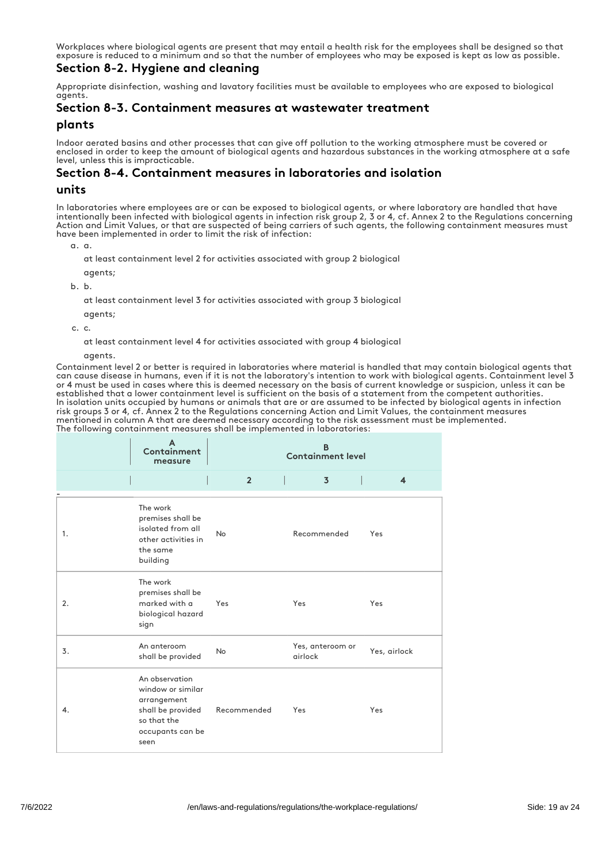Workplaces where biological agents are present that may entail a health risk for the employees shall be designed so that exposure is reduced to a minimum and so that the number of employees who may be exposed is kept as low as possible.

## Section 8-2. Hygiene and cleaning

Appropriate disinfection, washing and lavatory facilities must be available to employees who are exposed to biological agents.

## Section 8-3. Containment measures at wastewater treatment

#### plants

Indoor aerated basins and other processes that can give off pollution to the working atmosphere must be covered or enclosed in order to keep the amount of biological agents and hazardous substances in the working atmosphere at a safe level, unless this is impracticable.

#### Section 8-4. Containment measures in laboratories and isolation

#### units

In laboratories where employees are or can be exposed to biological agents, or where laboratory are handled that have intentionally been infected with biological agents in infection risk group 2, 3 or 4, cf. Annex 2 to the Regulations concerning Action and Limit Values, or that are suspected of being carriers of such agents, the following containment measures must have been implemented in order to limit the risk of infection:

a. a.

at least containment level 2 for activities associated with group 2 biological

- agents;
- b. b.

at least containment level 3 for activities associated with group 3 biological

agents;

c. c.

at least containment level 4 for activities associated with group 4 biological

agents.

Containment level 2 or better is required in laboratories where material is handled that may contain biological agents that can cause disease in humans, even if it is not the laboratory's intention to work with biological agents. Containment level 3 or 4 must be used in cases where this is deemed necessary on the basis of current knowledge or suspicion, unless it can be established that a lower containment level is sufficient on the basis of a statement from the competent authorities. In isolation units occupied by humans or animals that are or are assumed to be infected by biological agents in infection risk groups 3 or 4, cf. Annex 2 to the Regulations concerning Action and Limit Values, the containment measures mentioned in column A that are deemed necessary according to the risk assessment must be implemented. The following containment measures shall be implemented in laboratories:

|    | Containment<br>measure                                                                                             | <b>Containment level</b> |                             |                         |  |
|----|--------------------------------------------------------------------------------------------------------------------|--------------------------|-----------------------------|-------------------------|--|
|    |                                                                                                                    | Г<br>$\overline{2}$      | L<br>$\overline{3}$         | $\overline{\mathbf{4}}$ |  |
| 1. | The work<br>premises shall be<br>isolated from all<br>other activities in<br>the same<br>building                  | <b>No</b>                | Recommended                 | Yes                     |  |
| 2. | The work<br>premises shall be<br>marked with a<br>biological hazard<br>sign                                        | Yes                      | Yes                         | Yes                     |  |
| 3. | An anteroom<br>shall be provided                                                                                   | <b>No</b>                | Yes, anteroom or<br>airlock | Yes, airlock            |  |
| 4. | An observation<br>window or similar<br>arrangement<br>shall be provided<br>so that the<br>occupants can be<br>seen | Recommended              | Yes                         | Yes                     |  |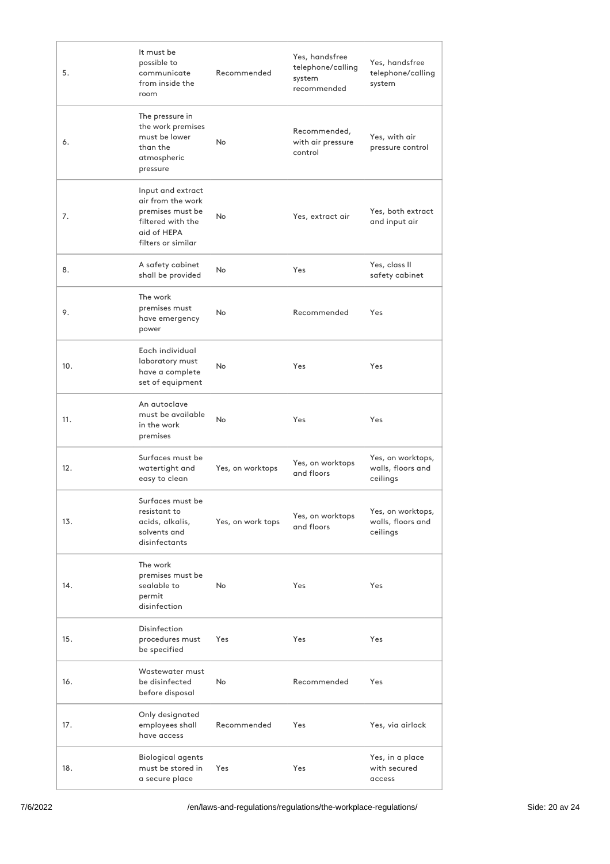| 5.  | It must be<br>possible to<br>communicate<br>from inside the<br>room                                                  | Recommended       | Yes, handsfree<br>telephone/calling<br>system<br>recommended | Yes, handsfree<br>telephone/calling<br>system      |
|-----|----------------------------------------------------------------------------------------------------------------------|-------------------|--------------------------------------------------------------|----------------------------------------------------|
| 6.  | The pressure in<br>the work premises<br>must be lower<br>than the<br>atmospheric<br>pressure                         | <b>No</b>         | Recommended,<br>with air pressure<br>control                 | Yes, with air<br>pressure control                  |
| 7.  | Input and extract<br>air from the work<br>premises must be<br>filtered with the<br>aid of HEPA<br>filters or similar | No                | Yes, extract air                                             | Yes, both extract<br>and input air                 |
| 8.  | A safety cabinet<br>shall be provided                                                                                | <b>No</b>         | Yes                                                          | Yes, class II<br>safety cabinet                    |
| 9.  | The work<br>premises must<br>have emergency<br>power                                                                 | No.               | Recommended                                                  | Yes                                                |
| 10. | Each individual<br>laboratory must<br>have a complete<br>set of equipment                                            | No                | Yes                                                          | Yes                                                |
| 11. | An autoclave<br>must be available<br>in the work<br>premises                                                         | <b>No</b>         | Yes                                                          | Yes                                                |
| 12. | Surfaces must be<br>watertight and<br>easy to clean                                                                  | Yes, on worktops  | Yes, on worktops<br>and floors                               | Yes, on worktops,<br>walls, floors and<br>ceilings |
| 13. | Surfaces must be<br>resistant to<br>acids, alkalis,<br>solvents and<br>disinfectants                                 | Yes, on work tops | Yes, on worktops<br>and floors                               | Yes, on worktops,<br>walls, floors and<br>ceilings |
| 14. | The work<br>premises must be<br>sealable to<br>permit<br>disinfection                                                | No                | Yes                                                          | Yes                                                |
| 15. | Disinfection<br>procedures must<br>be specified                                                                      | Yes               | Yes                                                          | Yes                                                |
| 16. | Wastewater must<br>be disinfected<br>before disposal                                                                 | <b>No</b>         | Recommended                                                  | Yes                                                |
| 17. | Only designated<br>employees shall<br>have access                                                                    | Recommended       | Yes                                                          | Yes, via airlock                                   |
| 18. | Biological agents<br>must be stored in<br>a secure place                                                             | Yes               | Yes                                                          | Yes, in a place<br>with secured<br>access          |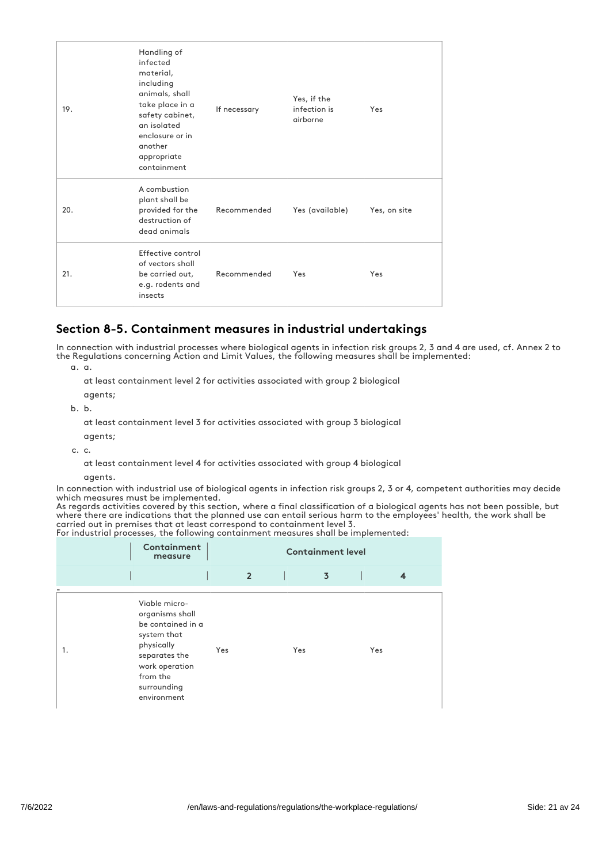| 19. | Handling of<br>infected<br>material,<br>including<br>animals, shall<br>take place in a<br>safety cabinet,<br>an isolated<br>enclosure or in<br>another<br>appropriate<br>containment | If necessary | Yes, if the<br>infection is<br>airborne | Yes          |
|-----|--------------------------------------------------------------------------------------------------------------------------------------------------------------------------------------|--------------|-----------------------------------------|--------------|
| 20. | A combustion<br>plant shall be<br>provided for the<br>destruction of<br>dead animals                                                                                                 | Recommended  | Yes (available)                         | Yes, on site |
| 21. | Effective control<br>of vectors shall<br>be carried out,<br>e.g. rodents and<br>insects                                                                                              | Recommended  | Yes                                     | Yes          |

## Section 8-5. Containment measures in industrial undertakings

In connection with industrial processes where biological agents in infection risk groups 2, 3 and 4 are used, cf. Annex 2 to the Regulations concerning Action and Limit Values, the following measures shall be implemented:

a. a.

at least containment level 2 for activities associated with group 2 biological

agents;

b. b.

at least containment level 3 for activities associated with group 3 biological

agents;

c. c.

at least containment level 4 for activities associated with group 4 biological

#### agents.

In connection with industrial use of biological agents in infection risk groups 2, 3 or 4, competent authorities may decide which measures must be implemented.

As regards activities covered by this section, where a final classification of a biological agents has not been possible, but where there are indications that the planned use can entail serious harm to the employees' health, the work shall be carried out in premises that at least correspond to containment level 3.

For industrial processes, the following containment measures shall be implemented:

|    | Containment<br>measure                                                                                                                                          | <b>Containment level</b> |                |  |                |     |  |
|----|-----------------------------------------------------------------------------------------------------------------------------------------------------------------|--------------------------|----------------|--|----------------|-----|--|
|    |                                                                                                                                                                 |                          | $\overline{2}$ |  | $\overline{3}$ | 4   |  |
| 1. | Viable micro-<br>organisms shall<br>be contained in a<br>system that<br>physically<br>separates the<br>work operation<br>from the<br>surrounding<br>environment | Yes                      |                |  | Yes            | Yes |  |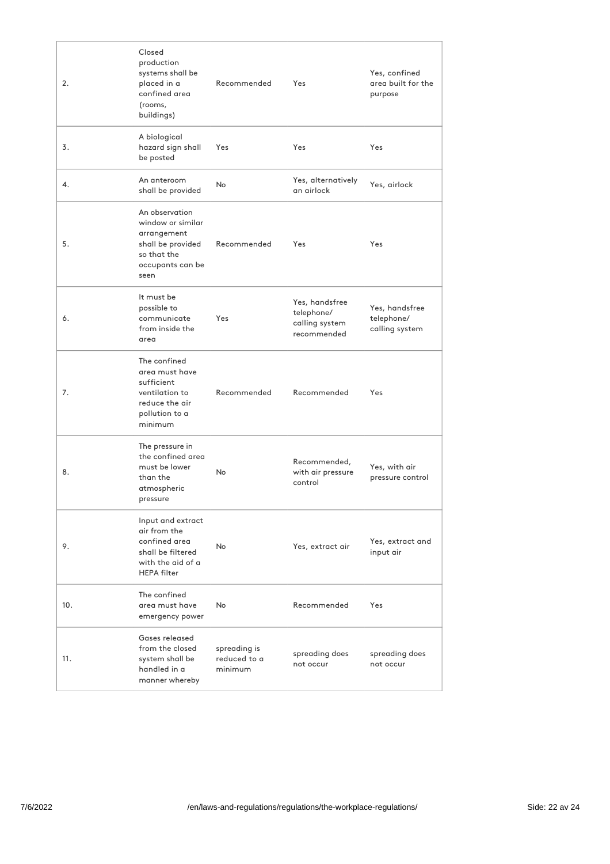| 2.  | Closed<br>production<br>systems shall be<br>placed in a<br>confined area<br>(rooms,<br>buildings)                  | Recommended                             | Yes                                                           | Yes, confined<br>area built for the<br>purpose |
|-----|--------------------------------------------------------------------------------------------------------------------|-----------------------------------------|---------------------------------------------------------------|------------------------------------------------|
| 3.  | A biological<br>hazard sign shall<br>be posted                                                                     | Yes                                     | Yes                                                           | Yes                                            |
| 4.  | An anteroom<br>shall be provided                                                                                   | No                                      | Yes, alternatively<br>an airlock                              | Yes, airlock                                   |
| 5.  | An observation<br>window or similar<br>arrangement<br>shall be provided<br>so that the<br>occupants can be<br>seen | Recommended                             | Yes                                                           | Yes                                            |
| 6.  | It must be<br>possible to<br>communicate<br>from inside the<br>area                                                | Yes                                     | Yes, handsfree<br>telephone/<br>calling system<br>recommended | Yes, handsfree<br>telephone/<br>calling system |
| 7.  | The confined<br>area must have<br>sufficient<br>ventilation to<br>reduce the air<br>pollution to a<br>minimum      | Recommended                             | Recommended                                                   | Yes                                            |
| 8.  | The pressure in<br>the confined area<br>must be lower<br>than the<br>atmospheric<br>pressure                       | <b>No</b>                               | Recommended,<br>with air pressure<br>control                  | Yes, with air<br>pressure control              |
| 9.  | Input and extract<br>air from the<br>confined area<br>shall be filtered<br>with the aid of a<br><b>HEPA filter</b> | <b>No</b>                               | Yes, extract air                                              | Yes, extract and<br>input air                  |
| 10. | The confined<br>area must have<br>emergency power                                                                  | <b>No</b>                               | Recommended                                                   | Yes                                            |
| 11. | Gases released<br>from the closed<br>system shall be<br>handled in a<br>manner whereby                             | spreading is<br>reduced to a<br>minimum | spreading does<br>not occur                                   | spreading does<br>not occur                    |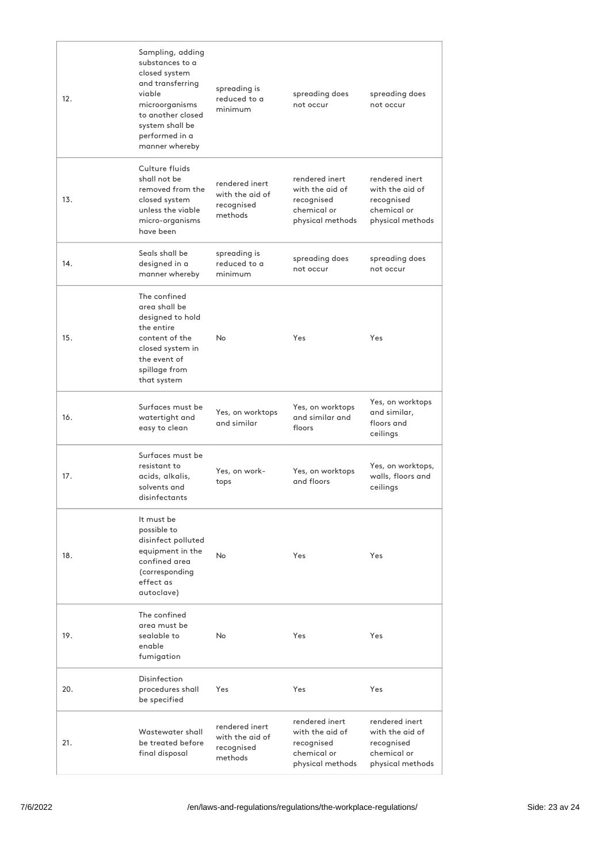| 12. | Sampling, adding<br>substances to a<br>closed system<br>and transferring<br>viable<br>microorganisms<br>to another closed<br>system shall be<br>performed in a<br>manner whereby | spreading is<br>reduced to a<br>minimum                    | spreading does<br>not occur                                                        | spreading does<br>not occur                                                        |
|-----|----------------------------------------------------------------------------------------------------------------------------------------------------------------------------------|------------------------------------------------------------|------------------------------------------------------------------------------------|------------------------------------------------------------------------------------|
| 13. | Culture fluids<br>shall not be<br>removed from the<br>closed system<br>unless the viable<br>micro-organisms<br>have been                                                         | rendered inert<br>with the aid of<br>recognised<br>methods | rendered inert<br>with the aid of<br>recognised<br>chemical or<br>physical methods | rendered inert<br>with the aid of<br>recognised<br>chemical or<br>physical methods |
| 14. | Seals shall be<br>designed in a<br>manner whereby                                                                                                                                | spreading is<br>reduced to a<br>minimum                    | spreading does<br>not occur                                                        | spreading does<br>not occur                                                        |
| 15. | The confined<br>area shall be<br>designed to hold<br>the entire<br>content of the<br>closed system in<br>the event of<br>spillage from<br>that system                            | <b>No</b>                                                  | Yes                                                                                | Yes                                                                                |
| 16. | Surfaces must be<br>watertight and<br>easy to clean                                                                                                                              | Yes, on worktops<br>and similar                            | Yes, on worktops<br>and similar and<br>floors                                      | Yes, on worktops<br>and similar,<br>floors and<br>ceilings                         |
| 17. | Surfaces must be<br>resistant to<br>acids, alkalis,<br>solvents and<br>disinfectants                                                                                             | Yes, on work-<br>tops                                      | Yes, on worktops<br>and floors                                                     | Yes, on worktops,<br>walls, floors and<br>ceilings                                 |
| 18. | It must be<br>possible to<br>disinfect polluted<br>equipment in the<br>confined area<br>(corresponding<br>effect as<br>autoclave)                                                | No                                                         | Yes                                                                                | Yes                                                                                |
| 19. | The confined<br>area must be<br>sealable to<br>enable<br>fumigation                                                                                                              | No                                                         | Yes                                                                                | Yes                                                                                |
| 20. | Disinfection<br>procedures shall<br>be specified                                                                                                                                 | Yes                                                        | Yes                                                                                | Yes                                                                                |
| 21. | Wastewater shall<br>be treated before<br>final disposal                                                                                                                          | rendered inert<br>with the aid of<br>recognised<br>methods | rendered inert<br>with the aid of<br>recognised<br>chemical or<br>physical methods | rendered inert<br>with the aid of<br>recognised<br>chemical or<br>physical methods |